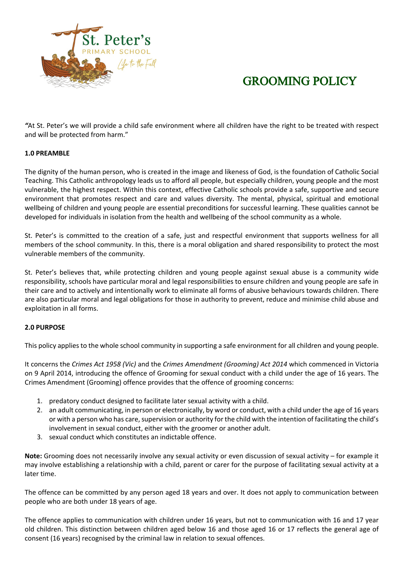

# GROOMING POLICY

*"*At St. Peter's we will provide a child safe environment where all children have the right to be treated with respect and will be protected from harm."

# **1.0 PREAMBLE**

The dignity of the human person, who is created in the image and likeness of God, is the foundation of Catholic Social Teaching. This Catholic anthropology leads us to afford all people, but especially children, young people and the most vulnerable, the highest respect. Within this context, effective Catholic schools provide a safe, supportive and secure environment that promotes respect and care and values diversity. The mental, physical, spiritual and emotional wellbeing of children and young people are essential preconditions for successful learning. These qualities cannot be developed for individuals in isolation from the health and wellbeing of the school community as a whole.

St. Peter's is committed to the creation of a safe, just and respectful environment that supports wellness for all members of the school community. In this, there is a moral obligation and shared responsibility to protect the most vulnerable members of the community.

St. Peter's believes that, while protecting children and young people against sexual abuse is a community wide responsibility, schools have particular moral and legal responsibilities to ensure children and young people are safe in their care and to actively and intentionally work to eliminate all forms of abusive behaviours towards children. There are also particular moral and legal obligations for those in authority to prevent, reduce and minimise child abuse and exploitation in all forms.

# **2.0 PURPOSE**

This policy applies to the whole school community in supporting a safe environment for all children and young people.

It concerns the *Crimes Act 1958 (Vic)* and the *Crimes Amendment (Grooming) Act 2014* which commenced in Victoria on 9 April 2014, introducing the offence of Grooming for sexual conduct with a child under the age of 16 years. The Crimes Amendment (Grooming) offence provides that the offence of grooming concerns:

- 1. predatory conduct designed to facilitate later sexual activity with a child.
- 2. an adult communicating, in person or electronically, by word or conduct, with a child under the age of 16 years or with a person who has care, supervision or authority for the child with the intention of facilitating the child's involvement in sexual conduct, either with the groomer or another adult.
- 3. sexual conduct which constitutes an indictable offence.

**Note:** Grooming does not necessarily involve any sexual activity or even discussion of sexual activity – for example it may involve establishing a relationship with a child, parent or carer for the purpose of facilitating sexual activity at a later time.

The offence can be committed by any person aged 18 years and over. It does not apply to communication between people who are both under 18 years of age.

The offence applies to communication with children under 16 years, but not to communication with 16 and 17 year old children. This distinction between children aged below 16 and those aged 16 or 17 reflects the general age of consent (16 years) recognised by the criminal law in relation to sexual offences.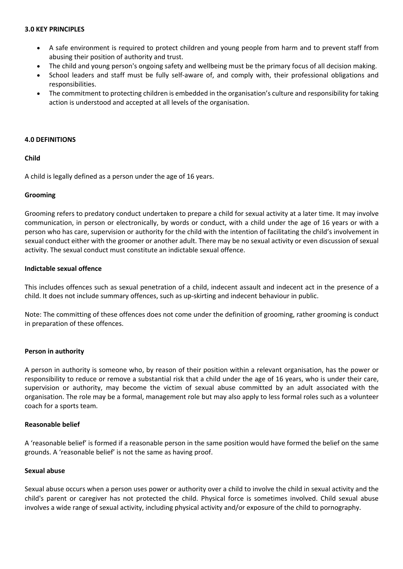# **3.0 KEY PRINCIPLES**

- A safe environment is required to protect children and young people from harm and to prevent staff from abusing their position of authority and trust.
- The child and young person's ongoing safety and wellbeing must be the primary focus of all decision making.
- School leaders and staff must be fully self-aware of, and comply with, their professional obligations and responsibilities.
- The commitment to protecting children is embedded in the organisation's culture and responsibility for taking action is understood and accepted at all levels of the organisation.

#### **4.0 DEFINITIONS**

## **Child**

A child is legally defined as a person under the age of 16 years.

#### **Grooming**

Grooming refers to predatory conduct undertaken to prepare a child for sexual activity at a later time. It may involve communication, in person or electronically, by words or conduct, with a child under the age of 16 years or with a person who has care, supervision or authority for the child with the intention of facilitating the child's involvement in sexual conduct either with the groomer or another adult. There may be no sexual activity or even discussion of sexual activity. The sexual conduct must constitute an indictable sexual offence.

#### **Indictable sexual offence**

This includes offences such as sexual penetration of a child, indecent assault and indecent act in the presence of a child. It does not include summary offences, such as up-skirting and indecent behaviour in public.

Note: The committing of these offences does not come under the definition of grooming, rather grooming is conduct in preparation of these offences.

## **Person in authority**

A person in authority is someone who, by reason of their position within a relevant organisation, has the power or responsibility to reduce or remove a substantial risk that a child under the age of 16 years, who is under their care, supervision or authority, may become the victim of sexual abuse committed by an adult associated with the organisation. The role may be a formal, management role but may also apply to less formal roles such as a volunteer coach for a sports team.

#### **Reasonable belief**

A 'reasonable belief' is formed if a reasonable person in the same position would have formed the belief on the same grounds. A 'reasonable belief' is not the same as having proof.

#### **Sexual abuse**

Sexual abuse occurs when a person uses power or authority over a child to involve the child in sexual activity and the child's parent or caregiver has not protected the child. Physical force is sometimes involved. Child sexual abuse involves a wide range of sexual activity, including physical activity and/or exposure of the child to pornography.